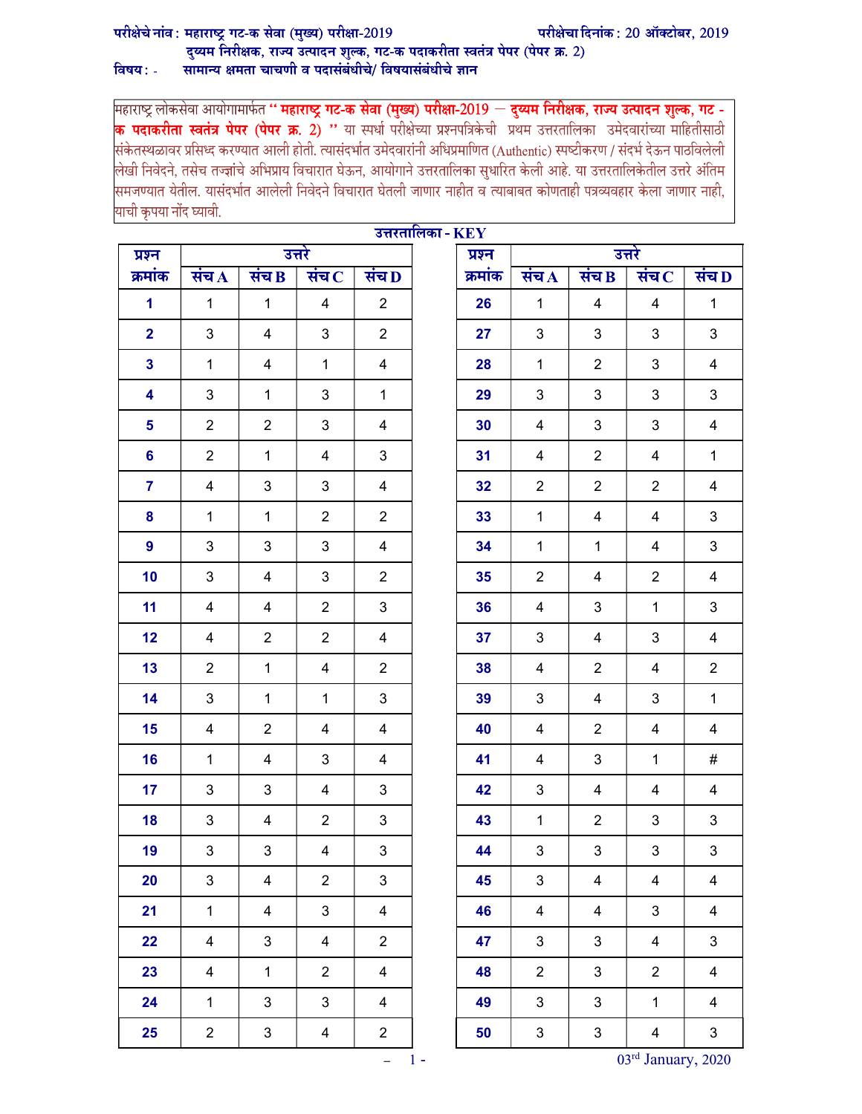## परीक्षेचे नांव: महाराष्ट्र गट-क सेवा (मुख्य) परीक्षा-2019

## दुय्यम निरीक्षक, राज्य उत्पादन शुल्क, गट-क पदाकरीता स्वतंत्र पेपर (पेपर क्र. 2) विषय $:$  -सामान्य क्षमता चाचणी व पदासंबंधीचे/ विषयासंबंधीचे ज्ञान

महाराष्ट्र लोकसेवा आयोगामार्फत '' **महाराष्ट्र गट-क सेवा (मुख्य) परीक्षा-2019 — दुय्यम निरीक्षक, राज्य उत्पादन शुल्क, गट -**<mark>क पदाकरीता स्वतंत्र पेपर (पेपर क्र. 2) ''</mark> या स्पर्धा परीक्षेच्या प्रश्नपत्रिकेची प्रथम उत्तरतालिका उमेदवारांच्या माहितीसाठी<br>संकेतस्थळावर प्रसिध्द करण्यात आली होती. त्यासंदर्भात उमेदवारांनी अधिप्रमाणित (Authentic) स्पष |<br>|लेखी निवेदने, तसेच तज्ज्ञांचे अभिप्राय विचारात घेऊन, आयोगाने उत्तरतालिका सुधारित केली आहे. या उत्तरतालिकेतील उत्तरे अंतिम |<br>|समजण्यात येतील. यासंदर्भात आलेली निवेदने विचारात घेतली जाणार नाहीत व त्याबाबत कोणताही पत्रव्यवहार केला जाणार नाही, याची कृपया नोंद घ्यावी.

| प्रश्न         | उत्तरे             |                    |                             |                    | उत्तरतालिका - $\mathbf{KEY}$ | प्रश्न  | उत्तरे             |                |                             |                         |
|----------------|--------------------|--------------------|-----------------------------|--------------------|------------------------------|---------|--------------------|----------------|-----------------------------|-------------------------|
| क्रमांक        | संच $\overline{A}$ | संच $\overline{B}$ | संच $\overline{\mathbf{C}}$ | संच $\overline{D}$ |                              | क्रमांक | संच $\overline{A}$ | संच $B$        | संच $\overline{\mathbf{C}}$ | संच $\overline{D}$      |
| $\mathbf{1}$   | $\mathbf{1}$       | $\mathbf{1}$       | $\overline{4}$              | $\overline{2}$     |                              | 26      | $\mathbf{1}$       | $\overline{4}$ | $\overline{\mathbf{4}}$     | $\mathbf{1}$            |
| $\overline{2}$ | 3                  | 4                  | 3                           | $\overline{2}$     |                              | 27      | $\mathbf{3}$       | 3              | 3                           | 3                       |
| $\mathbf{3}$   | $\mathbf{1}$       | 4                  | $\mathbf{1}$                | $\overline{4}$     |                              | 28      | $\mathbf{1}$       | $\overline{2}$ | 3                           | $\overline{4}$          |
| 4              | $\mathfrak{B}$     | $\mathbf{1}$       | 3                           | $\mathbf{1}$       |                              | 29      | $\mathbf{3}$       | 3              | $\mathbf{3}$                | 3                       |
| 5              | $\overline{2}$     | $\overline{2}$     | 3                           | 4                  |                              | 30      | 4                  | 3              | $\mathbf{3}$                | $\overline{\mathbf{4}}$ |
| $6\phantom{a}$ | $\overline{2}$     | $\mathbf{1}$       | 4                           | 3                  |                              | 31      | $\overline{4}$     | $\overline{2}$ | 4                           | $\mathbf{1}$            |
| $\overline{7}$ | $\overline{4}$     | 3                  | 3                           | $\overline{4}$     |                              | 32      | $\overline{2}$     | $\overline{2}$ | $\overline{2}$              | $\overline{4}$          |
| 8              | $\mathbf{1}$       | $\mathbf{1}$       | $\overline{2}$              | $\overline{2}$     |                              | 33      | $\mathbf{1}$       | $\overline{4}$ | $\overline{4}$              | $\mathfrak{S}$          |
| 9              | $\mathfrak{B}$     | 3                  | 3                           | $\overline{4}$     |                              | 34      | $\mathbf{1}$       | $\mathbf{1}$   | 4                           | 3                       |
| 10             | 3                  | 4                  | 3                           | $\overline{2}$     |                              | 35      | $\overline{2}$     | 4              | $\overline{2}$              | $\overline{\mathbf{4}}$ |
| 11             | $\overline{4}$     | 4                  | $\overline{2}$              | 3                  |                              | 36      | $\overline{4}$     | 3              | $\mathbf{1}$                | $\mathfrak{S}$          |
| 12             | 4                  | $\overline{2}$     | $\overline{2}$              | 4                  |                              | 37      | $\mathbf{3}$       | 4              | 3                           | $\overline{4}$          |
| 13             | $\overline{2}$     | $\mathbf{1}$       | $\overline{4}$              | $\overline{2}$     |                              | 38      | $\overline{4}$     | $\overline{2}$ | $\overline{4}$              | $\overline{2}$          |
| 14             | 3                  | $\mathbf{1}$       | $\mathbf{1}$                | $\mathfrak{B}$     |                              | 39      | $\mathbf{3}$       | 4              | $\mathbf{3}$                | $\mathbf{1}$            |
| 15             | 4                  | $\overline{2}$     | 4                           | 4                  |                              | 40      | 4                  | $\overline{2}$ | 4                           | $\overline{\mathbf{4}}$ |
| 16             | $\mathbf{1}$       | 4                  | 3                           | 4                  |                              | 41      | $\overline{4}$     | 3              | $\mathbf{1}$                | $\#$                    |
| 17             | 3                  | 3                  | 4                           | 3                  |                              | 42      | $\mathbf{3}$       | 4              | 4                           | $\overline{4}$          |
| 18             | 3                  | 4                  | $\overline{2}$              | 3                  |                              | 43      | $\mathbf{1}$       | $\overline{2}$ | 3                           | $\mathfrak{S}$          |
| 19             | 3                  | 3                  | 4                           | $\sqrt{3}$         |                              | 44      | 3                  | $\mathfrak{S}$ | $\mathbf{3}$                | $\sqrt{3}$              |
| 20             | $\mathbf{3}$       | $\overline{4}$     | $\mathbf{2}$                | $\mathbf{3}$       |                              | 45      | $\mathbf{3}$       | 4              | 4                           | $\overline{4}$          |
| 21             | $\mathbf{1}$       | 4                  | 3                           | $\overline{4}$     |                              | 46      | $\overline{4}$     | $\overline{4}$ | $\mathbf{3}$                | $\overline{4}$          |
| 22             | 4                  | 3                  | $\overline{4}$              | $\overline{2}$     |                              | 47      | $\mathbf{3}$       | $\mathfrak{S}$ | $\overline{\mathbf{4}}$     | $\mathbf{3}$            |
| 23             | $\overline{4}$     | $\mathbf{1}$       | $\overline{2}$              | $\overline{4}$     |                              | 48      | $\overline{2}$     | $\mathbf{3}$   | $\overline{2}$              | $\overline{4}$          |
| 24             | $\mathbf{1}$       | 3                  | 3                           | $\overline{4}$     |                              | 49      | 3                  | 3              | $\mathbf{1}$                | $\overline{4}$          |
| 25             | $\overline{2}$     | $\mathbf{3}$       | 4                           | $\overline{2}$     |                              | 50      | $\mathfrak{S}$     | $\sqrt{3}$     | 4                           | $\mathbf{3}$            |

– 1 - 03rd January, 2020